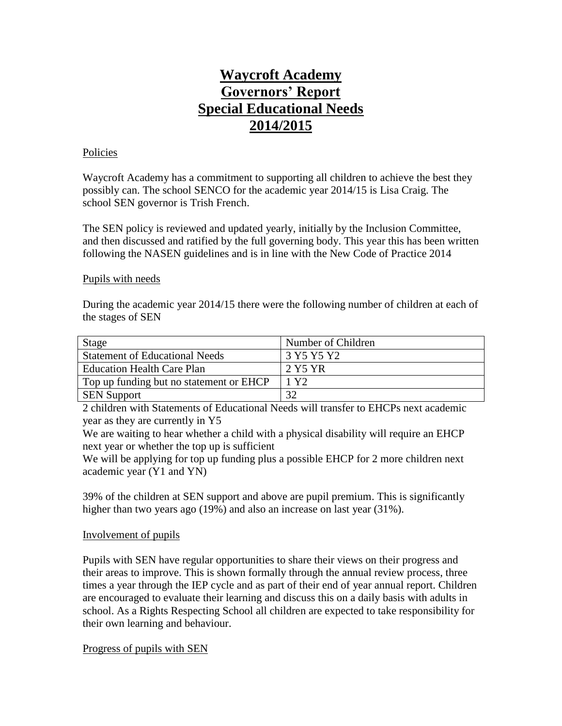# **Waycroft Academy Governors' Report Special Educational Needs 2014/2015**

# Policies

Waycroft Academy has a commitment to supporting all children to achieve the best they possibly can. The school SENCO for the academic year 2014/15 is Lisa Craig. The school SEN governor is Trish French.

The SEN policy is reviewed and updated yearly, initially by the Inclusion Committee, and then discussed and ratified by the full governing body. This year this has been written following the NASEN guidelines and is in line with the New Code of Practice 2014

# Pupils with needs

During the academic year 2014/15 there were the following number of children at each of the stages of SEN

| <b>Stage</b>                            | Number of Children |
|-----------------------------------------|--------------------|
| <b>Statement of Educational Needs</b>   | 3 Y 5 Y 5 Y 2      |
| <b>Education Health Care Plan</b>       | 2 Y5 YR            |
| Top up funding but no statement or EHCP | 1 Y 2              |
| <b>SEN Support</b>                      | 32                 |

2 children with Statements of Educational Needs will transfer to EHCPs next academic year as they are currently in Y5

We are waiting to hear whether a child with a physical disability will require an EHCP next year or whether the top up is sufficient

We will be applying for top up funding plus a possible EHCP for 2 more children next academic year (Y1 and YN)

39% of the children at SEN support and above are pupil premium. This is significantly higher than two years ago (19%) and also an increase on last year (31%).

# Involvement of pupils

Pupils with SEN have regular opportunities to share their views on their progress and their areas to improve. This is shown formally through the annual review process, three times a year through the IEP cycle and as part of their end of year annual report. Children are encouraged to evaluate their learning and discuss this on a daily basis with adults in school. As a Rights Respecting School all children are expected to take responsibility for their own learning and behaviour.

Progress of pupils with SEN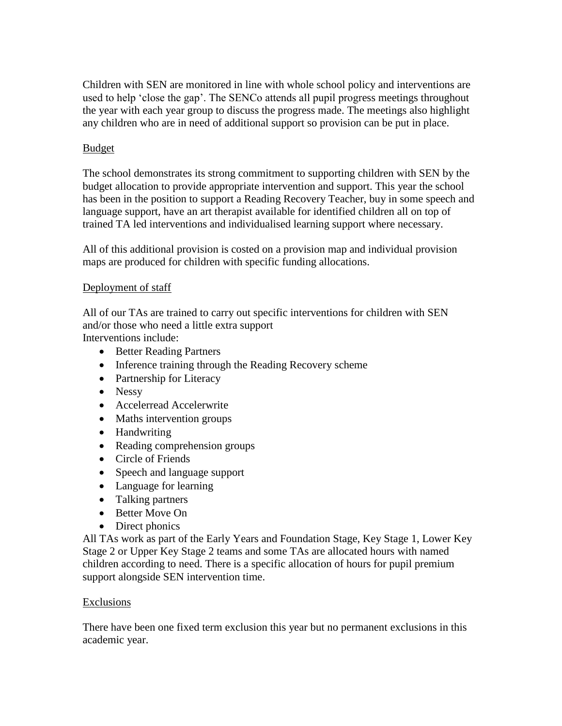Children with SEN are monitored in line with whole school policy and interventions are used to help 'close the gap'. The SENCo attends all pupil progress meetings throughout the year with each year group to discuss the progress made. The meetings also highlight any children who are in need of additional support so provision can be put in place.

# **Budget**

The school demonstrates its strong commitment to supporting children with SEN by the budget allocation to provide appropriate intervention and support. This year the school has been in the position to support a Reading Recovery Teacher, buy in some speech and language support, have an art therapist available for identified children all on top of trained TA led interventions and individualised learning support where necessary.

All of this additional provision is costed on a provision map and individual provision maps are produced for children with specific funding allocations.

# Deployment of staff

All of our TAs are trained to carry out specific interventions for children with SEN and/or those who need a little extra support

Interventions include:

- Better Reading Partners
- Inference training through the Reading Recovery scheme
- Partnership for Literacy
- Nessy
- Accelerread Accelerwrite
- Maths intervention groups
- Handwriting
- Reading comprehension groups
- Circle of Friends
- Speech and language support
- Language for learning
- Talking partners
- Better Move On
- Direct phonics

All TAs work as part of the Early Years and Foundation Stage, Key Stage 1, Lower Key Stage 2 or Upper Key Stage 2 teams and some TAs are allocated hours with named children according to need. There is a specific allocation of hours for pupil premium support alongside SEN intervention time.

# Exclusions

There have been one fixed term exclusion this year but no permanent exclusions in this academic year.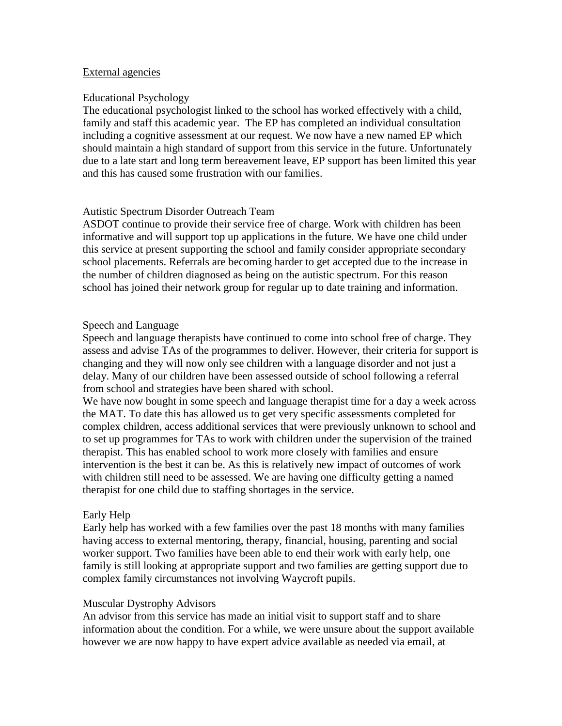#### External agencies

#### Educational Psychology

The educational psychologist linked to the school has worked effectively with a child, family and staff this academic year. The EP has completed an individual consultation including a cognitive assessment at our request. We now have a new named EP which should maintain a high standard of support from this service in the future. Unfortunately due to a late start and long term bereavement leave, EP support has been limited this year and this has caused some frustration with our families.

# Autistic Spectrum Disorder Outreach Team

ASDOT continue to provide their service free of charge. Work with children has been informative and will support top up applications in the future. We have one child under this service at present supporting the school and family consider appropriate secondary school placements. Referrals are becoming harder to get accepted due to the increase in the number of children diagnosed as being on the autistic spectrum. For this reason school has joined their network group for regular up to date training and information.

# Speech and Language

Speech and language therapists have continued to come into school free of charge. They assess and advise TAs of the programmes to deliver. However, their criteria for support is changing and they will now only see children with a language disorder and not just a delay. Many of our children have been assessed outside of school following a referral from school and strategies have been shared with school.

We have now bought in some speech and language therapist time for a day a week across the MAT. To date this has allowed us to get very specific assessments completed for complex children, access additional services that were previously unknown to school and to set up programmes for TAs to work with children under the supervision of the trained therapist. This has enabled school to work more closely with families and ensure intervention is the best it can be. As this is relatively new impact of outcomes of work with children still need to be assessed. We are having one difficulty getting a named therapist for one child due to staffing shortages in the service.

# Early Help

Early help has worked with a few families over the past 18 months with many families having access to external mentoring, therapy, financial, housing, parenting and social worker support. Two families have been able to end their work with early help, one family is still looking at appropriate support and two families are getting support due to complex family circumstances not involving Waycroft pupils.

#### Muscular Dystrophy Advisors

An advisor from this service has made an initial visit to support staff and to share information about the condition. For a while, we were unsure about the support available however we are now happy to have expert advice available as needed via email, at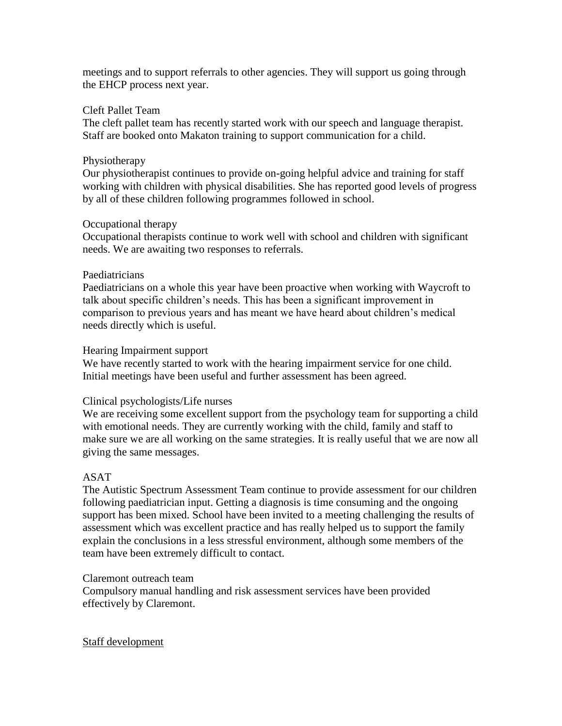meetings and to support referrals to other agencies. They will support us going through the EHCP process next year.

#### Cleft Pallet Team

The cleft pallet team has recently started work with our speech and language therapist. Staff are booked onto Makaton training to support communication for a child.

### Physiotherapy

Our physiotherapist continues to provide on-going helpful advice and training for staff working with children with physical disabilities. She has reported good levels of progress by all of these children following programmes followed in school.

# Occupational therapy

Occupational therapists continue to work well with school and children with significant needs. We are awaiting two responses to referrals.

#### Paediatricians

Paediatricians on a whole this year have been proactive when working with Waycroft to talk about specific children's needs. This has been a significant improvement in comparison to previous years and has meant we have heard about children's medical needs directly which is useful.

#### Hearing Impairment support

We have recently started to work with the hearing impairment service for one child. Initial meetings have been useful and further assessment has been agreed.

# Clinical psychologists/Life nurses

We are receiving some excellent support from the psychology team for supporting a child with emotional needs. They are currently working with the child, family and staff to make sure we are all working on the same strategies. It is really useful that we are now all giving the same messages.

# ASAT

The Autistic Spectrum Assessment Team continue to provide assessment for our children following paediatrician input. Getting a diagnosis is time consuming and the ongoing support has been mixed. School have been invited to a meeting challenging the results of assessment which was excellent practice and has really helped us to support the family explain the conclusions in a less stressful environment, although some members of the team have been extremely difficult to contact.

#### Claremont outreach team

Compulsory manual handling and risk assessment services have been provided effectively by Claremont.

#### Staff development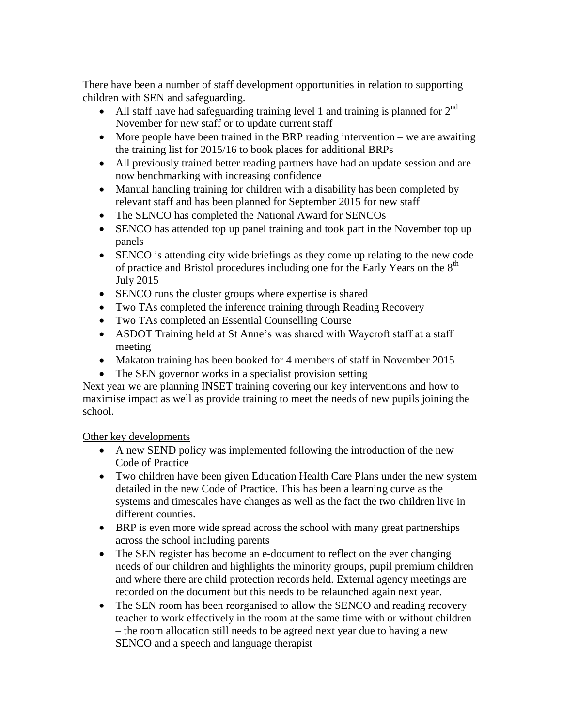There have been a number of staff development opportunities in relation to supporting children with SEN and safeguarding.

- All staff have had safeguarding training level 1 and training is planned for  $2^{nd}$ November for new staff or to update current staff
- $\bullet$  More people have been trained in the BRP reading intervention we are awaiting the training list for 2015/16 to book places for additional BRPs
- All previously trained better reading partners have had an update session and are now benchmarking with increasing confidence
- Manual handling training for children with a disability has been completed by relevant staff and has been planned for September 2015 for new staff
- The SENCO has completed the National Award for SENCOs
- SENCO has attended top up panel training and took part in the November top up panels
- SENCO is attending city wide briefings as they come up relating to the new code of practice and Bristol procedures including one for the Early Years on the  $8<sup>th</sup>$ July 2015
- SENCO runs the cluster groups where expertise is shared
- Two TAs completed the inference training through Reading Recovery
- Two TAs completed an Essential Counselling Course
- ASDOT Training held at St Anne's was shared with Waycroft staff at a staff meeting
- Makaton training has been booked for 4 members of staff in November 2015
- The SEN governor works in a specialist provision setting

Next year we are planning INSET training covering our key interventions and how to maximise impact as well as provide training to meet the needs of new pupils joining the school.

Other key developments

- A new SEND policy was implemented following the introduction of the new Code of Practice
- Two children have been given Education Health Care Plans under the new system detailed in the new Code of Practice. This has been a learning curve as the systems and timescales have changes as well as the fact the two children live in different counties.
- BRP is even more wide spread across the school with many great partnerships across the school including parents
- The SEN register has become an e-document to reflect on the ever changing needs of our children and highlights the minority groups, pupil premium children and where there are child protection records held. External agency meetings are recorded on the document but this needs to be relaunched again next year.
- The SEN room has been reorganised to allow the SENCO and reading recovery teacher to work effectively in the room at the same time with or without children – the room allocation still needs to be agreed next year due to having a new SENCO and a speech and language therapist